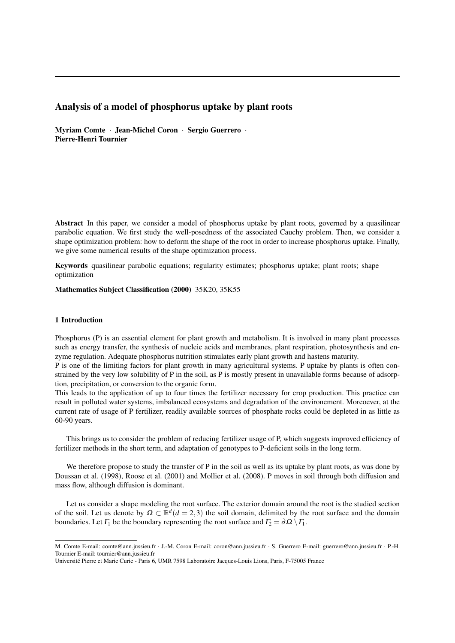# Analysis of a model of phosphorus uptake by plant roots

Myriam Comte · Jean-Michel Coron · Sergio Guerrero · Pierre-Henri Tournier

Abstract In this paper, we consider a model of phosphorus uptake by plant roots, governed by a quasilinear parabolic equation. We first study the well-posedness of the associated Cauchy problem. Then, we consider a shape optimization problem: how to deform the shape of the root in order to increase phosphorus uptake. Finally, we give some numerical results of the shape optimization process.

Keywords quasilinear parabolic equations; regularity estimates; phosphorus uptake; plant roots; shape optimization

Mathematics Subject Classification (2000) 35K20, 35K55

### 1 Introduction

Phosphorus (P) is an essential element for plant growth and metabolism. It is involved in many plant processes such as energy transfer, the synthesis of nucleic acids and membranes, plant respiration, photosynthesis and enzyme regulation. Adequate phosphorus nutrition stimulates early plant growth and hastens maturity.

P is one of the limiting factors for plant growth in many agricultural systems. P uptake by plants is often constrained by the very low solubility of P in the soil, as P is mostly present in unavailable forms because of adsorption, precipitation, or conversion to the organic form.

This leads to the application of up to four times the fertilizer necessary for crop production. This practice can result in polluted water systems, imbalanced ecosystems and degradation of the environement. Moreoever, at the current rate of usage of P fertilizer, readily available sources of phosphate rocks could be depleted in as little as 60-90 years.

This brings us to consider the problem of reducing fertilizer usage of P, which suggests improved efficiency of fertilizer methods in the short term, and adaptation of genotypes to P-deficient soils in the long term.

We therefore propose to study the transfer of P in the soil as well as its uptake by plant roots, as was done by [Doussan et al. \(1998\),](#page-17-0) [Roose et al. \(2001\)](#page-17-0) and [Mollier et al. \(2008\).](#page-17-0) P moves in soil through both diffusion and mass flow, although diffusion is dominant.

Let us consider a shape modeling the root surface. The exterior domain around the root is the studied section of the soil. Let us denote by  $\Omega \subset \mathbb{R}^d (d=2,3)$  the soil domain, delimited by the root surface and the domain boundaries. Let  $\Gamma_1$  be the boundary representing the root surface and  $\Gamma_2 = \partial \Omega \setminus \Gamma_1$ .

M. Comte E-mail: comte@ann.jussieu.fr · J.-M. Coron E-mail: coron@ann.jussieu.fr · S. Guerrero E-mail: guerrero@ann.jussieu.fr · P.-H. Tournier E-mail: tournier@ann.jussieu.fr

Universite Pierre et Marie Curie - Paris 6, UMR 7598 Laboratoire Jacques-Louis Lions, Paris, F-75005 France ´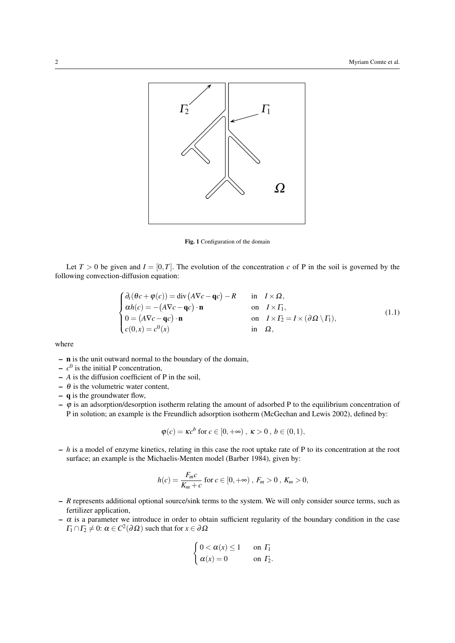

Fig. 1 Configuration of the domain

Let  $T > 0$  be given and  $I = [0, T]$ . The evolution of the concentration *c* of P in the soil is governed by the following convection-diffusion equation:

<span id="page-1-0"></span>
$$
\begin{cases}\n\partial_t(\theta c + \varphi(c)) = \text{div}\left(A\nabla c - \mathbf{q}c\right) - R & \text{in } I \times \Omega, \\
\alpha h(c) = -(A\nabla c - \mathbf{q}c) \cdot \mathbf{n} & \text{on } I \times \Gamma_1, \\
0 = (A\nabla c - \mathbf{q}c) \cdot \mathbf{n} & \text{on } I \times \Gamma_2 = I \times (\partial \Omega \setminus \Gamma_1), \\
c(0, x) = c^0(x) & \text{in } \Omega,\n\end{cases}
$$
\n(1.1)

where

- n is the unit outward normal to the boundary of the domain,
- $-c<sup>0</sup>$  is the initial P concentration,
- *A* is the diffusion coefficient of P in the soil,
- $\theta$  is the volumetric water content,
- q is the groundwater flow,
- $-\varphi$  is an adsorption/desorption isotherm relating the amount of adsorbed P to the equilibrium concentration of P in solution; an example is the Freundlich adsorption isotherm [\(McGechan and Lewis 2002\)](#page-17-0), defined by:

$$
\varphi(c) = \kappa c^b \text{ for } c \in [0, +\infty), \ \kappa > 0 \ , \ b \in (0, 1),
$$

surface; an example is the Michaelis-Menten model [\(Barber 1984\)](#page-17-0), given by: – *h* is a model of enzyme kinetics, relating in this case the root uptake rate of P to its concentration at the root

$$
h(c) = \frac{F_m c}{K_m + c}
$$
 for  $c \in [0, +\infty)$ ,  $F_m > 0$ ,  $K_m > 0$ ,

- *R* represents additional optional source/sink terms to the system. We will only consider source terms, such as fertilizer application,
- $-\alpha$  is a parameter we introduce in order to obtain sufficient regularity of the boundary condition in the case  $\Gamma_1 \cap \Gamma_2 \neq 0$ :  $\alpha \in C^2(\partial \Omega)$  such that for  $x \in \partial \Omega$

$$
\begin{cases} 0 < \alpha(x) \le 1 & \text{on } \Gamma_1 \\ \alpha(x) = 0 & \text{on } \Gamma_2. \end{cases}
$$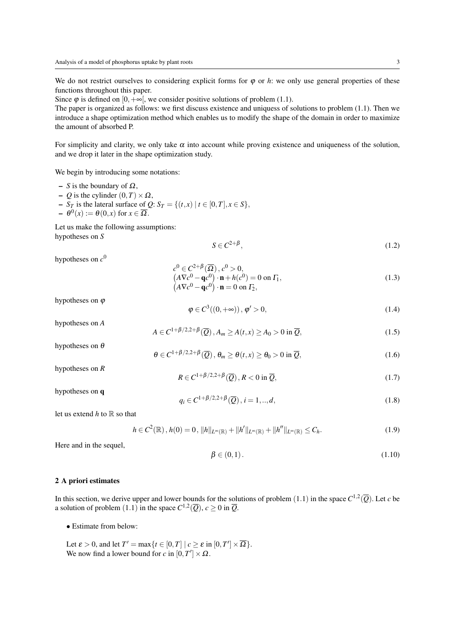We do not restrict ourselves to considering explicit forms for  $\varphi$  or  $h$ : we only use general properties of these functions throughout this paper.

Since  $\varphi$  is defined on  $[0, +\infty]$ , we consider positive solutions of problem [\(1.1\)](#page-1-0).

The paper is organized as follows: we first discuss existence and uniquess of solutions to problem [\(1.1\)](#page-1-0). Then we introduce a shape optimization method which enables us to modify the shape of the domain in order to maximize the amount of absorbed P.

For simplicity and clarity, we only take  $\alpha$  into account while proving existence and uniqueness of the solution, and we drop it later in the shape optimization study.

We begin by introducing some notations:

- *S* is the boundary of Ω,
- *Q* is the cylinder  $(0, T) \times Ω$ ,
- − *S*<sup>*T*</sup> is the lateral surface of *Q*: *S*<sup>*T*</sup> = {(*t*,*x*) | *t* ∈ [0,*T*], *x* ∈ *S*},
- $\theta^0(x) := \theta(0,x)$  for  $x \in \overline{\Omega}$ .

Let us make the following assumptions: hypotheses on *S*

$$
S \in C^{2+\beta},\tag{1.2}
$$

hypotheses on  $c^0$ 

$$
c^{0} \in C^{2+\beta}(\overline{\Omega}), c^{0} > 0,
$$
  
\n
$$
(A\nabla c^{0} - \mathbf{q}c^{0}) \cdot \mathbf{n} + h(c^{0}) = 0 \text{ on } \Gamma_{1},
$$
  
\n
$$
(A\nabla c^{0} - \mathbf{q}c^{0}) \cdot \mathbf{n} = 0 \text{ on } \Gamma_{2},
$$
\n(1.3)

hypotheses on  $\varphi$ 

<span id="page-2-0"></span>
$$
\varphi \in C^3((0, +\infty)), \varphi' > 0,
$$
\n
$$
(1.4)
$$

hypotheses on *A* hypotheses on  $\theta$ 

<span id="page-2-1"></span>
$$
A \in C^{1+\beta/2,2+\beta}(\overline{Q}), A_m \ge A(t, x) \ge A_0 > 0 \text{ in } \overline{Q},
$$
\n(1.5)

<span id="page-2-2"></span>
$$
\theta \in C^{1+\beta/2,2+\beta}(\overline{Q}), \ \theta_m \ge \theta(t,x) \ge \theta_0 > 0 \text{ in } \overline{Q}, \tag{1.6}
$$

hypotheses on *R*

<span id="page-2-3"></span>
$$
R \in C^{1+\beta/2,2+\beta}(\overline{Q}), R < 0 \text{ in } \overline{Q}, \tag{1.7}
$$

hypotheses on q

<span id="page-2-4"></span>
$$
q_i \in C^{1+\beta/2,2+\beta}(\overline{Q}), i = 1,..,d,
$$
\n(1.8)

let us extend  $h$  to  $\mathbb R$  so that

$$
h \in C^{2}(\mathbb{R}), h(0) = 0, \|h\|_{L^{\infty}(\mathbb{R})} + \|h'\|_{L^{\infty}(\mathbb{R})} + \|h''\|_{L^{\infty}(\mathbb{R})} \leq C_{h}.
$$
\n(1.9)

Here and in the sequel,

<span id="page-2-6"></span>
$$
\beta \in (0,1). \tag{1.10}
$$

### <span id="page-2-5"></span>2 A priori estimates

In this section, we derive upper and lower bounds for the solutions of problem  $(1.1)$  $(1.1)$  $(1.1)$  in the space  $C^{1,2}(\overline{Q})$ . Let *c* be a solution of problem ([1](#page-1-0).1) in the space  $C^{1,2}(\overline{Q})$ ,  $c \ge 0$  in  $\overline{Q}$ .

• Estimate from below:

Let  $\varepsilon > 0$ , and let  $T' = \max\{t \in [0, T] \mid c \ge \varepsilon \text{ in } [0, T'] \times \overline{\Omega}\}.$ We now find a lower bound for *c* in  $[0, T'] \times \Omega$ .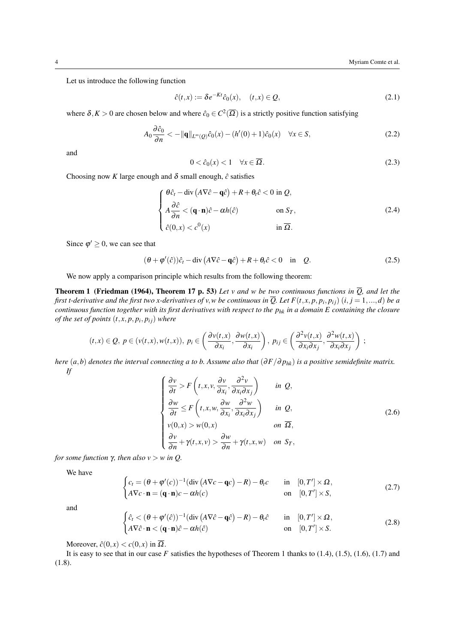Let us introduce the following function

$$
\hat{c}(t,x) := \delta e^{-Kt}\hat{c}_0(x), \quad (t,x) \in \mathcal{Q},\tag{2.1}
$$

where  $\delta, K > 0$  are chosen below and where  $\hat{c}_0 \in C^2(\overline{\Omega})$  is a strictly positive function satisfying

$$
A_0 \frac{\partial \hat{c}_0}{\partial n} < -\|\mathbf{q}\|_{L^\infty(Q)} \hat{c}_0(x) - (h'(0) + 1)\hat{c}_0(x) \quad \forall x \in S,\tag{2.2}
$$

and

<span id="page-3-0"></span>
$$
0 < \hat{c}_0(x) < 1 \quad \forall x \in \overline{\Omega}.\tag{2.3}
$$

Choosing now *K* large enough and  $\delta$  small enough,  $\hat{c}$  satisfies

$$
\begin{cases}\n\theta \hat{c}_t - \operatorname{div} (A \nabla \hat{c} - \mathbf{q} \hat{c}) + R + \theta_t \hat{c} < 0 \text{ in } \mathcal{Q}, \\
A \frac{\partial \hat{c}}{\partial n} < (\mathbf{q} \cdot \mathbf{n}) \hat{c} - \alpha h(\hat{c}) \qquad \text{on } S_T, \\
\hat{c}(0, x) < c^0(x) \qquad \text{in } \overline{\Omega}.\n\end{cases} \tag{2.4}
$$

Since  $\varphi' \geq 0$ , we can see that

$$
(\theta + \varphi'(\hat{c}))\hat{c}_t - \text{div}\left(A\nabla\hat{c} - \mathbf{q}\hat{c}\right) + R + \theta_t\hat{c} < 0 \quad \text{in} \quad Q. \tag{2.5}
$$

We now apply a comparison principle which results from the following theorem:

**Theorem 1 [\(Friedman \(1964\),](#page-17-0) Theorem 17 p. 53)** Let v and w be two continuous functions in  $\overline{Q}$ , and let the *first t-derivative and the first two x-derivatives of v,w be continuous in*  $\overline{Q}$ *. Let*  $F(t,x,p,p_i,p_{ij})$  $(i,j=1,...,d)$  *be a continuous function together with its first derivatives with respect to the phk in a domain E containing the closure of the set of points* (*t*, *x*, *p*, *p<sup>i</sup>* , *pi j*) *where*

$$
(t,x)\in Q,\ p\in (v(t,x),w(t,x)),\ p_i\in \left(\frac{\partial v(t,x)}{\partial x_i},\frac{\partial w(t,x)}{\partial x_i}\right),\ p_{ij}\in \left(\frac{\partial^2 v(t,x)}{\partial x_i\partial x_j},\frac{\partial^2 w(t,x)}{\partial x_i\partial x_j}\right);
$$

*here*  $(a,b)$  *denotes the interval connecting a to b. Assume also that*  $(\partial F/\partial p_{hk})$  *is a positive semidefinite matrix. If*

$$
\begin{cases}\n\frac{\partial v}{\partial t} > F\left(t, x, v, \frac{\partial v}{\partial x_i}, \frac{\partial^2 v}{\partial x_i \partial x_j}\right) & \text{in } Q, \\
\frac{\partial w}{\partial t} \le F\left(t, x, w, \frac{\partial w}{\partial x_i}, \frac{\partial^2 w}{\partial x_i \partial x_j}\right) & \text{in } Q, \\
v(0, x) > w(0, x) & \text{on } \overline{\Omega}, \\
\frac{\partial v}{\partial n} + \gamma(t, x, v) > \frac{\partial w}{\partial n} + \gamma(t, x, w) & \text{on } S_T,\n\end{cases} \tag{2.6}
$$

*for some function*  $\gamma$ *, then also*  $v > w$  *in Q.* 

We have

$$
\begin{cases} c_t = (\theta + \varphi'(c))^{-1} (\text{div} (\mathbf{A} \nabla c - \mathbf{q}c) - \mathbf{R}) - \theta_t c & \text{in} \quad [0, T'] \times \Omega, \\ \mathbf{A} \nabla c \cdot \mathbf{n} = (\mathbf{q} \cdot \mathbf{n}) c - \alpha h(c) & \text{on} \quad [0, T'] \times S, \end{cases}
$$
(2.7)

and

$$
\begin{cases} \n\hat{c}_t < (\theta + \varphi'(\hat{c}))^{-1} (\text{div} \left( A \nabla \hat{c} - \mathbf{q} \hat{c} \right) - R) - \theta_t \hat{c} & \text{in} \quad [0, T'] \times \Omega, \\ \nA \nabla \hat{c} \cdot \mathbf{n} < (\mathbf{q} \cdot \mathbf{n}) \hat{c} - \alpha h(\hat{c}) & \text{on} \quad [0, T'] \times S. \n\end{cases} \tag{2.8}
$$

Moreover,  $\hat{c}(0, x) < c(0, x)$  in  $\overline{\Omega}$ .

It is easy to see that in our case *F* satisfies the hypotheses of Theorem [1](#page-3-0) thanks to [\(1.4\)](#page-2-0), [\(1.5\)](#page-2-1), [\(1.6\)](#page-2-2), [\(1.7\)](#page-2-3) and [\(1.8\)](#page-2-4).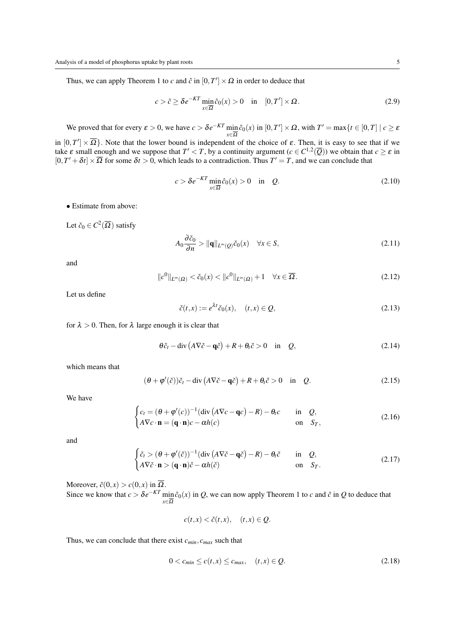Thus, we can apply Theorem [1](#page-3-0) to *c* and  $\hat{c}$  in  $[0, T'] \times \Omega$  in order to deduce that

$$
c > \hat{c} \ge \delta e^{-KT} \min_{x \in \overline{\Omega}} \hat{c}_0(x) > 0 \quad \text{in} \quad [0, T'] \times \Omega. \tag{2.9}
$$

We proved that for every  $\varepsilon > 0$ , we have  $c > \delta e^{-KT} \min_{\varepsilon \in \mathbb{R}^m}$  $\min_{x \in \overline{\Omega}} \hat{c}_0(x)$  in  $[0, T'] \times \Omega$ , with  $T' = \max\{t \in [0, T] \mid c \ge \varepsilon\}$ 

in  $[0,T']\times\overline{\Omega}$ . Note that the lower bound is independent of the choice of  $\varepsilon$ . Then, it is easy to see that if we take  $\varepsilon$  small enough and we suppose that  $T' < T$ , by a continuity argument  $(c \in C^{1,2}(\overline{Q}))$  we obtain that  $c \ge \varepsilon$  in  $[0, T' + \delta t] \times \overline{\Omega}$  for some  $\delta t > 0$ , which leads to a contradiction. Thus  $T' = T$ , and we can conclude that

$$
c > \delta e^{-KT} \min_{x \in \overline{\Omega}} \hat{c}_0(x) > 0 \quad \text{in} \quad Q. \tag{2.10}
$$

• Estimate from above:

Let  $\check{c}_0 \in C^2(\overline{\Omega})$  satisfy

$$
A_0 \frac{\partial \check{c}_0}{\partial n} > ||\mathbf{q}||_{L^{\infty}(Q)} \check{c}_0(x) \quad \forall x \in S,
$$
\n(2.11)

and

$$
||c^0||_{L^{\infty}(\Omega)} < \check{c}_0(x) < ||c^0||_{L^{\infty}(\Omega)} + 1 \quad \forall x \in \overline{\Omega}.
$$
 (2.12)

Let us define

$$
\check{c}(t,x) := e^{\lambda t} \check{c}_0(x), \quad (t,x) \in \mathcal{Q}, \tag{2.13}
$$

for  $\lambda > 0$ . Then, for  $\lambda$  large enough it is clear that

$$
\theta \check{c}_t - \operatorname{div} (A \nabla \check{c} - \mathbf{q} \check{c}) + R + \theta_t \check{c} > 0 \quad \text{in} \quad Q,
$$
\n(2.14)

which means that

$$
(\theta + \varphi'(\breve{c}))\breve{c}_t - \text{div}\left(A\nabla\breve{c} - \mathbf{q}\breve{c}\right) + R + \theta_t\breve{c} > 0 \quad \text{in} \quad Q. \tag{2.15}
$$

We have

$$
\begin{cases} c_t = (\theta + \varphi'(c))^{-1} (\text{div} (\mathbf{A} \nabla c - \mathbf{q}c) - \mathbf{R}) - \theta_t c & \text{in } \mathbf{Q}, \\ \mathbf{A} \nabla c \cdot \mathbf{n} = (\mathbf{q} \cdot \mathbf{n}) c - \alpha h(c) & \text{on } S_T, \end{cases}
$$
(2.16)

and

$$
\begin{cases} \check{c}_t > (\theta + \varphi'(\check{c}))^{-1} (\text{div} (A \nabla \check{c} - \mathbf{q} \check{c}) - R) - \theta_t \check{c} & \text{in } Q, \\ A \nabla \check{c} \cdot \mathbf{n} > (\mathbf{q} \cdot \mathbf{n}) \check{c} - \alpha h(\check{c}) & \text{on } S_T. \end{cases}
$$
(2.17)

Moreover,  $\check{c}(0, x) > c(0, x)$  in  $\overline{\Omega}$ . Since we know that  $c > \delta e^{-KT} \min_{\alpha}$  $\min_{x \in \overline{\Omega}} \hat{c}_0(x)$  in *Q*, we can now apply Theorem [1](#page-3-0) to *c* and  $\check{c}$  in *Q* to deduce that

$$
c(t,x) < \check{c}(t,x), \quad (t,x) \in \mathcal{Q}.
$$

Thus, we can conclude that there exist *cmin*, *cmax* such that

$$
0 < c_{\min} \le c(t, x) \le c_{\max}, \quad (t, x) \in \mathcal{Q}.\tag{2.18}
$$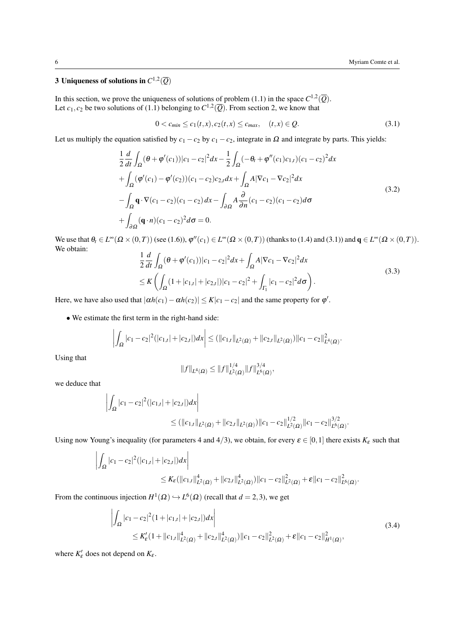# <span id="page-5-3"></span> $3$  Uniqueness of solutions in  $C^{1,2}(\overline{Q})$

In this section, we prove the uniqueness of solutions of problem [\(1.1\)](#page-1-0) in the space  $C^{1,2}(\overline{Q})$ . Let  $c_1, c_2$  be two solutions of [\(1.1\)](#page-1-0) belonging to  $C^{1,2}(\overline{Q})$ . From section [2,](#page-2-5) we know that

<span id="page-5-0"></span>
$$
0 < c_{min} \le c_1(t, x), c_2(t, x) \le c_{max}, \quad (t, x) \in Q. \tag{3.1}
$$

Let us multiply the equation satisfied by  $c_1 - c_2$  by  $c_1 - c_2$ , integrate in  $\Omega$  and integrate by parts. This yields:

<span id="page-5-1"></span>
$$
\frac{1}{2}\frac{d}{dt}\int_{\Omega}(\theta+\varphi'(c_1))|c_1-c_2|^2dx-\frac{1}{2}\int_{\Omega}(-\theta_t+\varphi''(c_1)c_{1,t})(c_1-c_2)^2dx \n+\int_{\Omega}(\varphi'(c_1)-\varphi'(c_2))(c_1-c_2)c_{2,t}dx+\int_{\Omega}A|\nabla c_1-\nabla c_2|^2dx \n-\int_{\Omega}\mathbf{q}\cdot\nabla(c_1-c_2)(c_1-c_2)dx-\int_{\partial\Omega}A\frac{\partial}{\partial n}(c_1-c_2)(c_1-c_2)d\sigma \n+\int_{\partial\Omega}(\mathbf{q}\cdot n)(c_1-c_2)^2d\sigma=0.
$$
\n(3.2)

We use that  $\theta_t \in L^{\infty}(\Omega \times (0,T))$  (see [\(1.6\)](#page-2-2)),  $\varphi''(c_1) \in L^{\infty}(\Omega \times (0,T))$  (thanks to [\(1.4\)](#page-2-0) and [\(3.1\)](#page-5-0)) and  $\mathbf{q} \in L^{\infty}(\Omega \times (0,T))$ . We obtain:

$$
\frac{1}{2}\frac{d}{dt}\int_{\Omega}(\theta+\varphi'(c_1))|c_1-c_2|^2dx+\int_{\Omega}A|\nabla c_1-\nabla c_2|^2dx
$$
\n
$$
\leq K\left(\int_{\Omega}(1+|c_{1,t}|+|c_{2,t}|)|c_1-c_2|^2+\int_{\Gamma_1}|c_1-c_2|^2d\sigma\right).
$$
\n(3.3)

Here, we have also used that  $|\alpha h(c_1) - \alpha h(c_2)| \le K |c_1 - c_2|$  and the same property for  $\varphi'$ .

• We estimate the first term in the right-hand side:

$$
\left| \int_{\Omega} |c_1 - c_2|^2 (|c_{1,t}| + |c_{2,t}|) dx \right| \leq (||c_{1,t}||_{L^2(\Omega)} + ||c_{2,t}||_{L^2(\Omega)}) ||c_1 - c_2||^2_{L^4(\Omega)}.
$$

Using that

$$
||f||_{L^{4}(\Omega)} \leq ||f||_{L^{2}(\Omega)}^{1/4} ||f||_{L^{6}(\Omega)}^{3/4},
$$

we deduce that

$$
\left| \int_{\Omega} |c_1 - c_2|^2 (|c_{1,t}| + |c_{2,t}|) dx \right|
$$
  
\n
$$
\leq (||c_{1,t}||_{L^2(\Omega)} + ||c_{2,t}||_{L^2(\Omega)}) ||c_1 - c_2||_{L^2(\Omega)}^{1/2} ||c_1 - c_2||_{L^6(\Omega)}^{3/2}.
$$

Using now Young's inequality (for parameters 4 and 4/3), we obtain, for every  $\varepsilon \in [0,1]$  there exists  $K_{\varepsilon}$  such that

$$
\left| \int_{\Omega} |c_1 - c_2|^2 (|c_{1,t}| + |c_{2,t}|) dx \right|
$$
  
\n
$$
\leq K_{\varepsilon} (\|c_{1,t}\|_{L^2(\Omega)}^4 + \|c_{2,t}\|_{L^2(\Omega)}^4) \|c_1 - c_2\|_{L^2(\Omega)}^2 + \varepsilon \|c_1 - c_2\|_{L^6(\Omega)}^2.
$$

From the continuous injection  $H^1(\Omega) \hookrightarrow L^6(\Omega)$  (recall that  $d = 2,3$ ), we get

<span id="page-5-2"></span>
$$
\left| \int_{\Omega} |c_1 - c_2|^2 (1 + |c_{1,t}| + |c_{2,t}|) dx \right|
$$
\n
$$
\leq K'_{\varepsilon} (1 + ||c_{1,t}||_{L^2(\Omega)}^4 + ||c_{2,t}||_{L^2(\Omega)}^4) ||c_1 - c_2||_{L^2(\Omega)}^2 + \varepsilon ||c_1 - c_2||_{H^1(\Omega)}^2,
$$
\n(3.4)

where  $K'_{\varepsilon}$  does not depend on  $K_{\varepsilon}$ .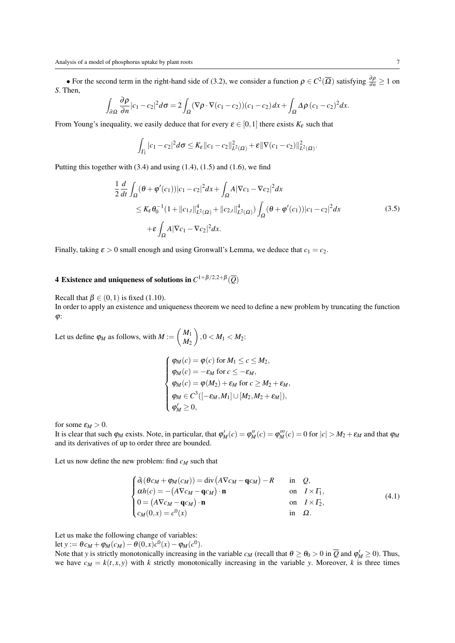• For the second term in the right-hand side of [\(3.2\)](#page-5-1), we consider a function  $\rho \in C^2(\overline{\Omega})$  satisfying  $\frac{\partial \rho}{\partial n} \ge 1$  on *S*. Then,

$$
\int_{\partial\Omega} \frac{\partial \rho}{\partial n} |c_1 - c_2|^2 d\sigma = 2 \int_{\Omega} (\nabla \rho \cdot \nabla (c_1 - c_2)) (c_1 - c_2) dx + \int_{\Omega} \Delta \rho (c_1 - c_2)^2 dx.
$$

From Young's inequality, we easily deduce that for every  $\varepsilon \in [0,1]$  there exists  $K_{\varepsilon}$  such that

$$
\int_{\Gamma_1} |c_1 - c_2|^2 d\sigma \leq K_{\varepsilon} ||c_1 - c_2||_{L^2(\Omega)}^2 + \varepsilon ||\nabla (c_1 - c_2)||_{L^2(\Omega)}^2.
$$

Putting this together with  $(3.4)$  and using  $(1.4)$ ,  $(1.5)$  and  $(1.6)$ , we find

$$
\frac{1}{2}\frac{d}{dt}\int_{\Omega}(\theta+\varphi'(c_1))|c_1-c_2|^2dx + \int_{\Omega}A|\nabla c_1-\nabla c_2|^2dx
$$
\n
$$
\leq K_{\varepsilon}\theta_0^{-1}(1+\|c_{1,t}\|_{L^2(\Omega)}^4 + \|c_{2,t}\|_{L^2(\Omega)}^4)\int_{\Omega}(\theta+\varphi'(c_1))|c_1-c_2|^2dx
$$
\n
$$
+\varepsilon\int_{\Omega}A|\nabla c_1-\nabla c_2|^2dx.
$$
\n(3.5)

Finally, taking  $\varepsilon > 0$  small enough and using Gronwall's Lemma, we deduce that  $c_1 = c_2$ .

# 4 Existence and uniqueness of solutions in  $C^{1+\beta/2,2+\beta}(\overline{Q})$

Recall that  $\beta \in (0,1)$  is fixed [\(1.10\)](#page-2-6).

In order to apply an existence and uniqueness theorem we need to define a new problem by truncating the function  $\varphi$ :

Let us define  $\varphi_M$  as follows, with  $M := \begin{pmatrix} M_1 \\ M_2 \end{pmatrix}$ *M*<sup>2</sup>  $\Big)$ ,  $0 < M_1 < M_2$ :

<span id="page-6-0"></span>
$$
\begin{cases}\n\varphi_M(c) = \varphi(c) \text{ for } M_1 \le c \le M_2, \\
\varphi_M(c) = -\varepsilon_M \text{ for } c \le -\varepsilon_M, \\
\varphi_M(c) = \varphi(M_2) + \varepsilon_M \text{ for } c \ge M_2 + \varepsilon_M, \\
\varphi_M \in C^3([-\varepsilon_M, M_1] \cup [M_2, M_2 + \varepsilon_M]), \\
\varphi'_M \ge 0,\n\end{cases}
$$

for some  $\varepsilon_M > 0$ .

It is clear that such  $\varphi_M$  exists. Note, in particular, that  $\varphi'_M(c) = \varphi'''_M(c) = \varphi'''_M(c) = 0$  for  $|c| > M_2 + \varepsilon_M$  and that  $\varphi_M$ and its derivatives of up to order three are bounded.

Let us now define the new problem: find *c<sup>M</sup>* such that

$$
\begin{cases}\n\partial_t(\theta c_M + \varphi_M(c_M)) = \text{div}\left(A\nabla c_M - \mathbf{q}c_M\right) - R & \text{in } \mathcal{Q}, \\
\alpha h(c) = -(A\nabla c_M - \mathbf{q}c_M) \cdot \mathbf{n} & \text{on } I \times \Gamma_1, \\
0 = (A\nabla c_M - \mathbf{q}c_M) \cdot \mathbf{n} & \text{on } I \times \Gamma_2, \\
c_M(0, x) = c^0(x) & \text{in } \mathcal{Q}.\n\end{cases}
$$
\n(4.1)

Let us make the following change of variables:

let  $y := \theta c_M + \varphi_M(c_M) - \theta(0, x)c^0(x) - \varphi_M(c^0)$ .

Note that *y* is strictly monotonically increasing in the variable  $c_M$  (recall that  $\theta \ge \theta_0 > 0$  in  $\overline{Q}$  and  $\phi'_M \ge 0$ ). Thus, we have  $c_M = k(t, x, y)$  with *k* strictly monotonically increasing in the variable *y*. Moreover, *k* is three times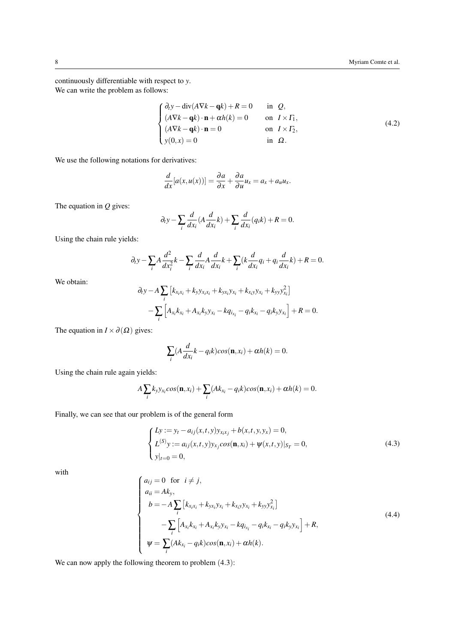continuously differentiable with respect to *y*. We can write the problem as follows:

$$
\begin{cases}\n\partial_t y - \text{div}(A\nabla k - \mathbf{q}k) + R = 0 & \text{in } \Omega, \\
(A\nabla k - \mathbf{q}k) \cdot \mathbf{n} + \alpha h(k) = 0 & \text{on } I \times \Gamma_1, \\
(A\nabla k - \mathbf{q}k) \cdot \mathbf{n} = 0 & \text{on } I \times \Gamma_2, \\
y(0, x) = 0 & \text{in } \Omega.\n\end{cases}
$$
\n(4.2)

We use the following notations for derivatives:

$$
\frac{d}{dx}[a(x,u(x))] = \frac{\partial a}{\partial x} + \frac{\partial a}{\partial u}u_x = a_x + a_u u_x.
$$

The equation in *Q* gives:

$$
\partial_t y - \sum_i \frac{d}{dx_i} (A \frac{d}{dx_i} k) + \sum_i \frac{d}{dx_i} (q_i k) + R = 0.
$$

Using the chain rule yields:

$$
\partial_t y - \sum_i A \frac{d^2}{dx_i^2} k - \sum_i \frac{d}{dx_i} A \frac{d}{dx_i} k + \sum_i (k \frac{d}{dx_i} q_i + q_i \frac{d}{dx_i} k) + R = 0.
$$

We obtain:

<span id="page-7-0"></span>
$$
\partial_t y - A \sum_i \left[ k_{x_i x_i} + k_{y} y_{x_i x_i} + k_{y x_i} y_{x_i} + k_{x_i y} y_{x_i} + k_{y y} y_{x_i}^2 \right] \n- \sum_i \left[ A_{x_i} k_{x_i} + A_{x_i} k_{y} y_{x_i} - k q_{i x_i} - q_i k_{x_i} - q_i k_{y} y_{x_i} \right] + R = 0.
$$

The equation in  $I \times \partial(\Omega)$  gives:

$$
\sum_{i} (A \frac{d}{dx_i} k - q_i k) \cos(\mathbf{n}, x_i) + \alpha h(k) = 0.
$$

Using the chain rule again yields:

$$
A\sum_{i}k_{y}y_{x_{i}}cos(\mathbf{n},x_{i})+\sum_{i}(Ak_{x_{i}}-q_{i}k)cos(\mathbf{n},x_{i})+\alpha h(k)=0.
$$

Finally, we can see that our problem is of the general form

$$
\begin{cases}\nLy := y_t - a_{ij}(x, t, y)y_{x_ix_j} + b(x, t, y, y_x) = 0, \\
L^{(S)}y := a_{ij}(x, t, y)y_{x_j}cos(\mathbf{n}, x_i) + \psi(x, t, y)|_{S_T} = 0, \\
y|_{t=0} = 0,\n\end{cases}
$$
\n(4.3)

with

$$
\begin{cases}\na_{ij} = 0 & \text{for } i \neq j, \\
a_{ii} = Ak_{y}, \\
b = -A \sum_{i} \left[ k_{x_{i}x_{i}} + k_{yx_{i}} y_{x_{i}} + k_{xy} y_{x_{i}} + k_{yy} y_{x_{i}}^{2} \right] \\
-\sum_{i} \left[ A_{x_{i}} k_{x_{i}} + A_{x_{i}} k_{y} y_{x_{i}} - k q_{i x_{i}} - q_{i} k_{x_{i}} - q_{i} k_{y} y_{x_{i}} \right] + R, \\
\psi = \sum_{i} (Ak_{x_{i}} - q_{i} k) \cos(\mathbf{n}, x_{i}) + \alpha h(k).\n\end{cases} \tag{4.4}
$$

We can now apply the following theorem to problem  $(4.3)$  $(4.3)$  $(4.3)$ :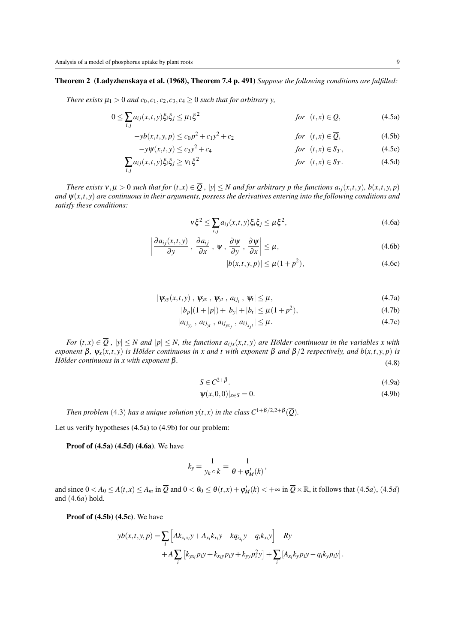∑ *i*, *j*

## Theorem 2 [\(Ladyzhenskaya et al. \(1968\),](#page-17-0) Theorem 7.4 p. 491) *Suppose the following conditions are fulfilled:*

*There exists*  $\mu_1 > 0$  *and*  $c_0$ ,  $c_1$ ,  $c_2$ ,  $c_3$ ,  $c_4 \ge 0$  *such that for arbitrary y,* 

$$
0 \leq \sum_{i,j} a_{ij}(x,t,y) \xi_i \xi_j \leq \mu_1 \xi^2 \qquad \qquad \text{for} \quad (t,x) \in \overline{Q}, \tag{4.5a}
$$

$$
-yb(x,t,y,p) \le c_0p^2 + c_1y^2 + c_2 \qquad \text{for } (t,x) \in \overline{Q}, \tag{4.5b}
$$

$$
-y\psi(x,t,y) \le c_3 y^2 + c_4 \qquad \qquad \text{for} \ \ (t,x) \in S_T,\tag{4.5c}
$$

$$
a_{ij}(x,t,y)\xi_i\xi_j \ge \nu_1\xi^2 \qquad \qquad \text{for} \quad (t,x) \in S_T. \tag{4.5d}
$$

There exists  $v, \mu > 0$  such that for  $(t, x) \in \overline{Q}$ ,  $|y| \le N$  and for arbitrary p the functions  $a_{ij}(x, t, y)$ ,  $b(x, t, y, p)$ *and* ψ(*x*,*t*, *y*) *are continuous in their arguments, possess the derivatives entering into the following conditions and satisfy these conditions:*

$$
\nu \xi^2 \le \sum_{i,j} a_{ij}(x,t,y) \xi_i \xi_j \le \mu \xi^2,\tag{4.6a}
$$

$$
\left|\frac{\partial a_{ij}(x,t,y)}{\partial y}\right|,\frac{\partial a_{ij}}{\partial x}\right|,\psi\left|,\frac{\partial \psi}{\partial y}\right| \leq \mu,
$$
\n(4.6b)

<span id="page-8-11"></span><span id="page-8-10"></span><span id="page-8-9"></span><span id="page-8-8"></span><span id="page-8-7"></span><span id="page-8-6"></span><span id="page-8-5"></span><span id="page-8-4"></span><span id="page-8-3"></span><span id="page-8-2"></span><span id="page-8-0"></span>
$$
|b(x,t,y,p)| \le \mu(1+p^2),\tag{4.6c}
$$

$$
|\psi_{yy}(x,t,y)|, \psi_{yx}, \psi_{yt}, a_{ij_t}, \psi_t| \leq \mu,
$$
\n(4.7a)

$$
|b_p|(1+|p|) + |b_y| + |b_t| \le \mu(1+p^2),\tag{4.7b}
$$

$$
|a_{ij_{yy}}, a_{ij_{yt}}, a_{ij_{yx_j}}, a_{ij_{x_j t}}| \leq \mu.
$$
 (4.7c)

*For*  $(t, x) \in \overline{Q}$ ,  $|y| \le N$  *and*  $|p| \le N$ , the functions  $a_{i j x}(x, t, y)$  *are Hölder continuous in the variables x with exponent*  $\beta$ ,  $\psi_x(x,t,y)$  *is Hölder continuous in x and t with exponent*  $\beta$  *and*  $\beta/2$  *respectively, and*  $b(x,t,y,p)$  *is*  $H$ ölder continuous in x with exponent  $\beta$ . (4.8)

$$
S \in C^{2+\beta}.
$$
\n(4.9a)

<span id="page-8-12"></span><span id="page-8-1"></span>
$$
\psi(x,0,0)|_{x\in S} = 0.\tag{4.9b}
$$

*Then problem* ([4](#page-7-0).3) *has a unique solution*  $y(t, x)$  *in the class*  $C^{1+\beta/2, 2+\beta}(\overline{Q})$ *.* 

Let us verify hypotheses [\(4.5a\)](#page-8-0) to [\(4.9b\)](#page-8-1) for our problem:

Proof of [\(4.5a\)](#page-8-0) [\(4.5d\)](#page-8-2) [\(4.6a\)](#page-8-3). We have

$$
k_{y} = \frac{1}{y_{k} \circ k} = \frac{1}{\theta + \varphi'_{M}(k)},
$$

an[d](#page-8-2) since  $0 < A_0 \le A(t, x) \le A_m$  in  $\overline{Q}$  and  $0 < \theta_0 \le \theta(t, x) + \varphi'_M(k) < +\infty$  in  $\overline{Q} \times \mathbb{R}$ , it follows that ([4](#page-8-0).5*a*), (4.5*d*) and ([4](#page-8-3).6*a*) hold.

Proof of  $(4.5b)$   $(4.5c)$ . We have

$$
-yb(x,t,y,p) = \sum_{i} \left[ Ak_{x_ix_i}y + A_{x_i}k_{x_i}y - kq_{ix_i}y - q_{ix_i}y \right] - Ry + A \sum_{i} \left[ k_{yx_i}p_iy + k_{x_i}p_iy + k_{yy}p_i^2y \right] + \sum_{i} \left[ A_{x_i}k_{y}p_iy - q_{ik}y_{iy}y \right].
$$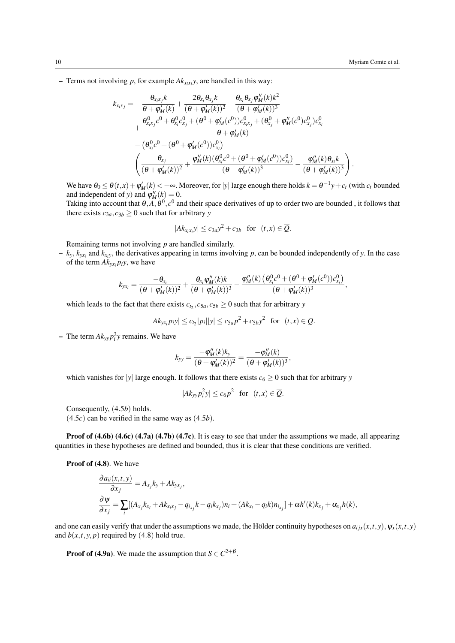– Terms not involving  $p$ , for example  $Ak_{x_ix_i}y$ , are handled in this way:

$$
k_{x_ix_j} = -\frac{\theta_{x_ix_j}k}{\theta + \phi'_M(k)} + \frac{2\theta_{x_i}\theta_{x_j}k}{(\theta + \phi'_M(k))^2} - \frac{\theta_{x_i}\theta_{x_j}\phi''_M(k)k^2}{(\theta + \phi'_M(k))^3} + \frac{\theta_{x_ix_j}^0c^0 + \theta_{x_i}^0c_{x_j}^0 + (\theta^0 + \phi'_M(c^0))c_{x_ix_j}^0 + (\theta_{x_j}^0 + \phi''_M(c^0)c_{x_j}^0)c_{x_i}^0}{\theta + \phi'_M(k)} - \left(\theta_{x_i}^0c^0 + (\theta^0 + \phi'_M(c^0))c_{x_i}^0\right) - \left(\frac{\theta_{x_j}}{(\theta + \phi'_M(k))^2} + \frac{\phi''_M(k)(\theta_{x_i}^0c^0 + (\theta^0 + \phi'_M(c^0))c_{x_i}^0)}{(\theta + \phi'_M(k))^3} - \frac{\phi''_M(k)\theta_{x_i}k}{(\theta + \phi'_M(k))^3}\right).
$$

We have  $\theta_0 \le \theta(t, x) + \phi'_M(k) < +\infty$ . Moreover, for |y| large enough there holds  $k = \theta^{-1}y + c_t$  (with  $c_t$  bounded and independent of *y*) and  $\varphi''_M(k) = 0$ .

Taking into account that  $\theta$ , $A$ , $\theta$ <sup>0</sup>, $c$ <sup>0</sup> and their space derivatives of up to order two are bounded, it follows that there exists  $c_{3a}$ ,  $c_{3b} \ge 0$  such that for arbitrary *y* 

$$
|Ak_{x_ix_i}y| \le c_{3a}y^2 + c_{3b} \text{ for } (t,x) \in \overline{Q}.
$$

Remaining terms not involving *p* are handled similarly.

 $- k_y, k_{yx_i}$  and  $k_{x_i}$ , the derivatives appearing in terms involving *p*, can be bounded independently of *y*. In the case of the term  $Ak_{yx_i}p_iy$ , we have

$$
k_{yx_i} = \frac{-\theta_{x_i}}{(\theta + \phi'_M(k))^2} + \frac{\theta_{x_i} \phi''_M(k)k}{(\theta + \phi'_M(k))^3} - \frac{\phi''_M(k) (\theta_{x_i}^0 c^0 + (\theta^0 + \phi'_M(c^0))c_{x_i}^0)}{(\theta + \phi'_M(k))^3},
$$

which leads to the fact that there exists  $c_{t_2}, c_{5a}, c_{5b} \ge 0$  such that for arbitrary *y* 

$$
|Ak_{yx_i}p_iy| \leq c_{t_2}|p_i||y| \leq c_{5a}p^2 + c_{5b}y^2 \text{ for } (t,x) \in \overline{Q}.
$$

 $\sim$  The term  $Ak_{yy}p_i^2y$  remains. We have

$$
k_{yy} = \frac{-\varphi''_M(k)k_y}{(\theta + \varphi'_M(k))^2} = \frac{-\varphi''_M(k)}{(\theta + \varphi'_M(k))^3},
$$

which vanishes for  $|y|$  large enough. It follows that there exists  $c_6 \geq 0$  such that for arbitrary *y* 

$$
|Ak_{yy}p_i^2y| \le c_6p^2 \text{ for } (t,x) \in \overline{Q}.
$$

Consequently, ([4](#page-8-4).5*b*) holds.

([4](#page-8-5).5*c*) can be verified in the same way as ([4](#page-8-4).5*b*).

Proof of [\(4.6b\)](#page-8-6) [\(4.6c\)](#page-8-7) [\(4.7a\)](#page-8-8) [\(4.7b\)](#page-8-9) [\(4.7c\)](#page-8-10). It is easy to see that under the assumptions we made, all appearing quantities in these hypotheses are defined and bounded, thus it is clear that these conditions are verified.

Proof of  $(4.8)$ . We have

$$
\frac{\partial a_{ii}(x,t,y)}{\partial x_j} = A_{x_j}k_y + Ak_{yx_j},
$$
  

$$
\frac{\partial \Psi}{\partial x_j} = \sum_i [(A_{x_j}k_{x_i} + Ak_{x_ix_j} - q_{ix_j}k - q_{ix_j})n_i + (Ak_{x_i} - q_{ik})n_{ix_j}] + \alpha h'(k)k_{x_j} + \alpha_{x_j}h(k),
$$

and one can easily verify that under the assumptions we made, the Hölder continuity hypotheses on  $a_{i j x}(x, t, y)$ ,  $\psi_x(x, t, y)$ and  $b(x, t, y, p)$  required by ([4](#page-8-11).8) hold true.

**Proof of [\(4.9a\)](#page-8-12)**. We made the assumption that  $S \in C^{2+\beta}$ .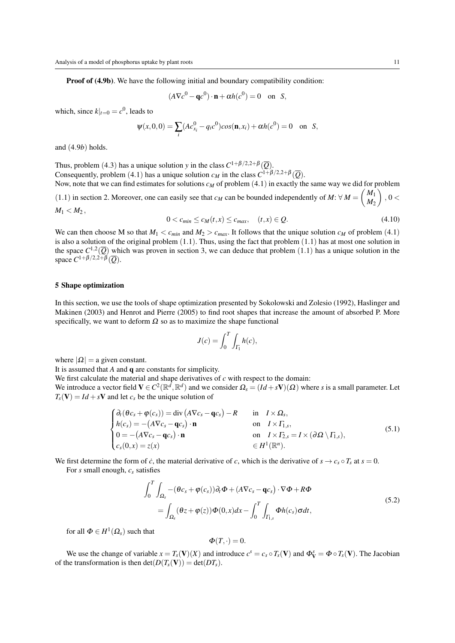**Proof of [\(4.9b\)](#page-8-1)**. We have the following initial and boundary compatibility condition:

$$
(A\nabla c^0 - \mathbf{q}c^0) \cdot \mathbf{n} + \alpha h(c^0) = 0 \quad \text{on} \quad S,
$$

which, since  $k|_{t=0} = c^0$ , leads to

$$
\psi(x,0,0) = \sum_{i} (Ac_{x_i}^0 - q_i c^0) \cos(\mathbf{n}, x_i) + \alpha h(c^0) = 0 \text{ on } S,
$$

and ([4](#page-8-1).9*b*) holds.

Thus, problem ([4](#page-7-0).3) has a unique solution *y* in the class  $C^{1+\beta/2,2+\beta}(\overline{Q})$ . Consequently, problem ([4](#page-6-0).1) has a unique solution  $c_M$  in the class  $C^{1+\beta/2,2+\beta}(\overline{Q})$ . Now, note that we can find estimates for solutions  $c_M$  of problem ([4](#page-6-0).1) in exactly the same way we did for problem

([1](#page-1-0).1) in section [2.](#page-2-5) Moreover, one can easily see that *c<sub>M</sub>* can be bounded independently of  $M: \forall M = \begin{pmatrix} M_1 \\ M_2 \end{pmatrix}$ *M*<sup>2</sup>  $\Big)$ , 0 <  $M_1 < M_2$ ,

$$
0 < c_{\min} \le c_M(t, x) \le c_{\max}, \quad (t, x) \in \mathcal{Q}.\tag{4.10}
$$

We can then choose M so that  $M_1 < c_{min}$  $M_1 < c_{min}$  $M_1 < c_{min}$  and  $M_2 > c_{max}$ . It follows that the unique solution  $c_M$  of problem (4.1) is also a solution of the original problem  $(1.1)$  $(1.1)$  $(1.1)$ . Thus, using the fact that problem  $(1.1)$  has at most one solution in the space  $C^{1,2}(\overline{Q})$  $C^{1,2}(\overline{Q})$  $C^{1,2}(\overline{Q})$  which was proven in section [3,](#page-5-3) we can deduce that problem (1.1) has a unique solution in the space  $C^{1+\beta/2,2+\beta}(\overline{Q})$ .

#### 5 Shape optimization

In this section, we use the tools of shape optimization presented by [Sokolowski and Zolesio \(1992\),](#page-17-0) [Haslinger and](#page-17-0) [Makinen \(2003\)](#page-17-0) and [Henrot and Pierre \(2005\)](#page-17-0) to find root shapes that increase the amount of absorbed P. More specifically, we want to deform  $\Omega$  so as to maximize the shape functional

$$
J(c) = \int_0^T \int_{\Gamma_1} h(c),
$$

where  $|Q| = a$  given constant.

It is assumed that *A* and q are constants for simplicity.

We first calculate the material and shape derivatives of *c* with respect to the domain:

We introduce a vector field  $V \in C^2(\mathbb{R}^d, \mathbb{R}^d)$  and we consider  $\Omega_s = (Id + sV)(\Omega)$  where *s* is a small parameter. Let  $T_s$ (V) = *Id* + *s*V and let  $c_s$  be the unique solution of

$$
\begin{cases}\n\partial_t(\theta c_s + \varphi(c_s)) = \text{div}\left(A\nabla c_s - \mathbf{q}c_s\right) - R & \text{in } I \times \Omega_s, \\
h(c_s) = -(A\nabla c_s - \mathbf{q}c_s) \cdot \mathbf{n} & \text{on } I \times \Gamma_{1,s}, \\
0 = -(A\nabla c_s - \mathbf{q}c_s) \cdot \mathbf{n} & \text{on } I \times \Gamma_{2,s} = I \times (\partial \Omega \setminus \Gamma_{1,s}), \\
c_s(0, x) = z(x) & \in H^1(\mathbb{R}^n).\n\end{cases} (5.1)
$$

We first determine the form of *c*, the material derivative of *c*, which is the derivative of  $s \to c_s \circ T_s$  at  $s = 0$ .

For *s* small enough, *c<sup>s</sup>* satisfies

<span id="page-10-0"></span>
$$
\int_0^T \int_{\Omega_s} -(\theta c_s + \varphi(c_s)) \partial_t \Phi + (A \nabla c_s - \mathbf{q} c_s) \cdot \nabla \Phi + R \Phi
$$
\n
$$
= \int_{\Omega_s} (\theta z + \varphi(z)) \Phi(0, x) dx - \int_0^T \int_{\Gamma_{1,s}} \Phi h(c_s) \sigma dt,
$$
\n(5.2)

for all  $\Phi \in H^1(\Omega_s)$  such that

$$
\Phi(T,\cdot)=0.
$$

We use the change of variable  $x = T_s(V)(X)$  and introduce  $c^s = c_s \circ T_s(V)$  and  $\Phi_V^s = \Phi \circ T_s(V)$ . The Jacobian of the transformation is then  $\det(D(T_s(\mathbf{V})) = \det(DT_s)$ .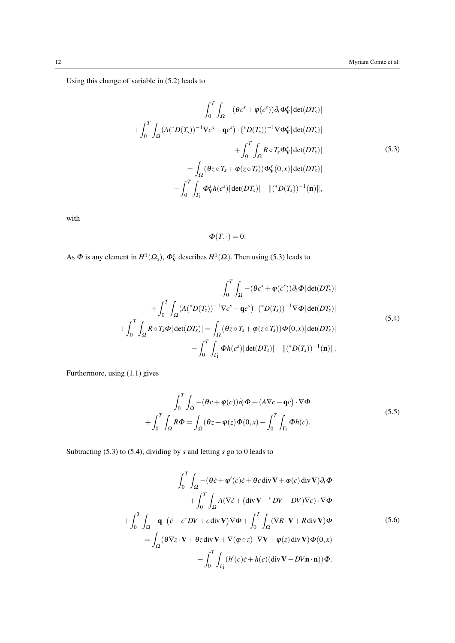Using this change of variable in [\(5.2\)](#page-10-0) leads to

<span id="page-11-0"></span>
$$
\int_0^T \int_{\Omega} -(\theta c^s + \varphi(c^s)) \partial_t \Phi_{\mathbf{V}}^s |\det(DT_s)|
$$
  
+ 
$$
\int_0^T \int_{\Omega} (A(^*D(T_s))^{-1} \nabla c^s - \mathbf{q} c^s) \cdot (^*D(T_s))^{-1} \nabla \Phi_{\mathbf{V}}^s |\det(DT_s)|
$$
  
+ 
$$
\int_0^T \int_{\Omega} R \circ T_s \Phi_{\mathbf{V}}^s |\det(DT_s)|
$$
  
= 
$$
\int_{\Omega} (\theta z \circ T_s + \varphi(z \circ T_s)) \Phi_{\mathbf{V}}^s(0, x) |\det(DT_s)|
$$
  
- 
$$
\int_0^T \int_{\Gamma_1} \Phi_{\mathbf{V}}^s h(c^s) |\det(DT_s)| ||(^*D(T_s))^{-1}(\mathbf{n})||,
$$

with

 $\Phi(T,\cdot)=0.$ 

As  $\Phi$  is any element in  $H^1(\Omega_s)$ ,  $\Phi^s_{\mathbf{V}}$  describes  $H^1(\Omega)$ . Then using [\(5.3\)](#page-11-0) leads to

<span id="page-11-1"></span>
$$
\int_0^T \int_{\Omega} -(\theta c^s + \varphi(c^s)) \partial_t \Phi |\det(DT_s)|
$$
  
+ 
$$
\int_0^T \int_{\Omega} (A(^*D(T_s))^{-1} \nabla c^s - \mathbf{q} c^s) \cdot (^*D(T_s))^{-1} \nabla \Phi |\det(DT_s)|
$$
  
+ 
$$
\int_0^T \int_{\Omega} R \circ T_s \Phi |\det(DT_s)| = \int_{\Omega} (\theta z \circ T_s + \varphi(z \circ T_s)) \Phi(0, x) |\det(DT_s)|
$$
  
- 
$$
\int_0^T \int_{\Gamma_1} \Phi h(c^s) |\det(DT_s)| ||(^*D(T_s))^{-1}(\mathbf{n})||.
$$
 (5.4)

Furthermore, using [\(1.1\)](#page-1-0) gives

$$
\int_0^T \int_{\Omega} -(\theta c + \varphi(c)) \partial_t \Phi + (A \nabla c - \mathbf{q}c) \cdot \nabla \Phi \n+ \int_0^T \int_{\Omega} R \Phi = \int_{\Omega} (\theta z + \varphi(z) \Phi(0, x) - \int_0^T \int_{\Gamma_1} \Phi h(c).
$$
\n(5.5)

Subtracting [\(5.3\)](#page-11-0) to [\(5.4\)](#page-11-1), dividing by *s* and letting *s* go to 0 leads to

$$
\int_0^T \int_{\Omega} -(\theta \dot{c} + \phi'(c)\dot{c} + \theta c \operatorname{div} \mathbf{V} + \phi(c) \operatorname{div} \mathbf{V}) \partial_t \Phi \n+ \int_0^T \int_{\Omega} A(\nabla \dot{c} + (\operatorname{div} \mathbf{V} - \partial V) \nabla c) \cdot \nabla \Phi \n+ \int_0^T \int_{\Omega} -\mathbf{q} \cdot (\dot{c} - c^* D V + c \operatorname{div} \mathbf{V}) \nabla \Phi + \int_0^T \int_{\Omega} (\nabla R \cdot \mathbf{V} + R \operatorname{div} \mathbf{V}) \Phi \n= \int_{\Omega} (\theta \nabla z \cdot \mathbf{V} + \theta z \operatorname{div} \mathbf{V} + \nabla (\phi \circ z) \cdot \nabla \mathbf{V} + \phi(z) \operatorname{div} \mathbf{V}) \Phi(0, x) \n- \int_0^T \int_{\Gamma_1} (h'(c) \dot{c} + h(c) (\operatorname{div} \mathbf{V} - D V \mathbf{n} \cdot \mathbf{n})) \Phi.
$$
\n(5.6)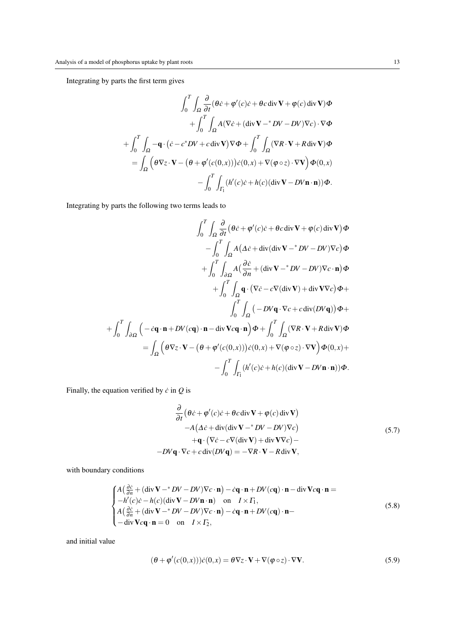Integrating by parts the first term gives

$$
\int_0^T \int_{\Omega} \frac{\partial}{\partial t} (\theta \dot{c} + \phi'(c) \dot{c} + \theta c \operatorname{div} \mathbf{V} + \phi(c) \operatorname{div} \mathbf{V}) \Phi \n+ \int_0^T \int_{\Omega} A (\nabla \dot{c} + (\operatorname{div} \mathbf{V} - b\mathbf{V} - D\mathbf{V}) \nabla c) \cdot \nabla \Phi \n+ \int_0^T \int_{\Omega} -\mathbf{q} \cdot (\dot{c} - c^* D\mathbf{V} + c \operatorname{div} \mathbf{V}) \nabla \Phi + \int_0^T \int_{\Omega} (\nabla R \cdot \mathbf{V} + R \operatorname{div} \mathbf{V}) \Phi \n= \int_{\Omega} \left( \theta \nabla z \cdot \mathbf{V} - (\theta + \phi'(c(0, x))) \dot{c}(0, x) + \nabla (\phi \circ z) \cdot \nabla \mathbf{V} \right) \Phi(0, x) \n- \int_0^T \int_{\Gamma_1} (h'(c) \dot{c} + h(c) (\operatorname{div} \mathbf{V} - D\mathbf{V} \mathbf{n} \cdot \mathbf{n})) \Phi.
$$

Integrating by parts the following two terms leads to

$$
\int_0^T \int_{\Omega} \frac{\partial}{\partial t} (\theta \dot{c} + \phi'(c) \dot{c} + \theta c \operatorname{div} \mathbf{V} + \phi(c) \operatorname{div} \mathbf{V}) \Phi
$$

$$
- \int_0^T \int_{\Omega} A (\Delta \dot{c} + \operatorname{div} (\operatorname{div} \mathbf{V} - \mathbf{V} \mathbf{V} - \mathbf{D} \mathbf{V}) \nabla c) \Phi
$$

$$
+ \int_0^T \int_{\partial \Omega} A (\frac{\partial \dot{c}}{\partial n} + (\operatorname{div} \mathbf{V} - \mathbf{V} \mathbf{V} - \mathbf{D} \mathbf{V}) \nabla c \cdot \mathbf{n}) \Phi
$$

$$
+ \int_0^T \int_{\Omega} \mathbf{q} \cdot (\nabla \dot{c} - c \nabla (\operatorname{div} \mathbf{V}) + \operatorname{div} \mathbf{V} \nabla c) \Phi +
$$

$$
\int_0^T \int_{\Omega} (-D V \mathbf{q} \cdot \nabla c + c \operatorname{div} (D V \mathbf{q})) \Phi +
$$

$$
+ \int_0^T \int_{\partial \Omega} \left( -c \mathbf{q} \cdot \mathbf{n} + D V(c \mathbf{q}) \cdot \mathbf{n} - \operatorname{div} \mathbf{V} c \mathbf{q} \cdot \mathbf{n} \right) \Phi + \int_0^T \int_{\Omega} (\nabla R \cdot \mathbf{V} + R \operatorname{div} \mathbf{V}) \Phi
$$

$$
= \int_{\Omega} \left( \theta \nabla z \cdot \mathbf{V} - (\theta + \phi'(c(0, x))) \dot{c}(0, x) + \nabla (\phi \circ z) \cdot \nabla \mathbf{V} \right) \Phi(0, x) +
$$

$$
- \int_0^T \int_{\Gamma_1} (h'(c) \dot{c} + h(c) (\operatorname{div} \mathbf{V} - D V \mathbf{n} \cdot \mathbf{n})) \Phi.
$$

Finally, the equation verified by  $\dot{c}$  in  $Q$  is

$$
\frac{\partial}{\partial t} \left( \theta \dot{c} + \phi'(c) \dot{c} + \theta c \operatorname{div} \mathbf{V} + \phi(c) \operatorname{div} \mathbf{V} \right) \n- A \left( \Delta \dot{c} + \operatorname{div} (\operatorname{div} \mathbf{V} - {}^*D V - DV) \nabla c \right) \n+ \mathbf{q} \cdot \left( \nabla \dot{c} - c \nabla (\operatorname{div} \mathbf{V}) + \operatorname{div} \mathbf{V} \nabla c \right) -\n- DV \mathbf{q} \cdot \nabla c + c \operatorname{div} (DV \mathbf{q}) = - \nabla R \cdot \mathbf{V} - R \operatorname{div} \mathbf{V},
$$
\n(5.7)

with boundary conditions

$$
\begin{cases}\nA\left(\frac{\partial \dot{c}}{\partial n} + (\text{div}\,\mathbf{V} - {}^{*}D V - D V)\nabla c \cdot \mathbf{n}\right) - \dot{c}\mathbf{q} \cdot \mathbf{n} + D V(c\mathbf{q}) \cdot \mathbf{n} - \text{div}\,\mathbf{V}c\mathbf{q} \cdot \mathbf{n} = \\
-h'(c)\dot{c} - h(c)(\text{div}\,\mathbf{V} - D V \mathbf{n} \cdot \mathbf{n}) \quad \text{on} \quad I \times \Gamma_{1}, \\
A\left(\frac{\partial \dot{c}}{\partial n} + (\text{div}\,\mathbf{V} - {}^{*}D V - D V)\nabla c \cdot \mathbf{n}\right) - \dot{c}\mathbf{q} \cdot \mathbf{n} + D V(c\mathbf{q}) \cdot \mathbf{n} - \\
-\text{div}\,\mathbf{V}c\mathbf{q} \cdot \mathbf{n} = 0 \quad \text{on} \quad I \times \Gamma_{2},\n\end{cases} (5.8)
$$

and initial value

$$
(\theta + \varphi'(c(0,x)))\dot{c}(0,x) = \theta \nabla z \cdot \mathbf{V} + \nabla(\varphi \circ z) \cdot \nabla \mathbf{V}.
$$
 (5.9)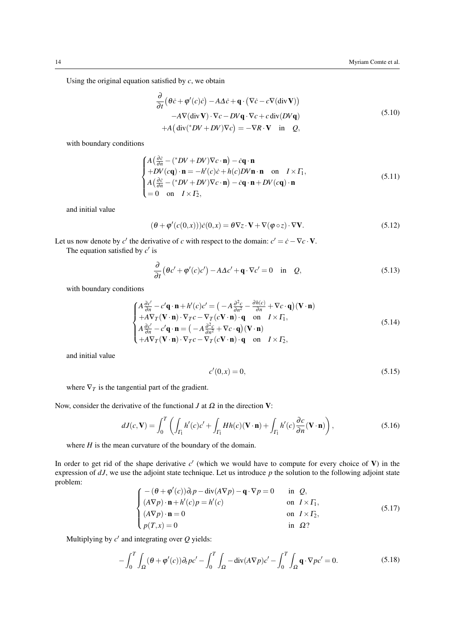Using the original equation satisfied by *c*, we obtain

∂

$$
\frac{\partial}{\partial t} \left( \theta \dot{c} + \phi'(c) \dot{c} \right) - A \Delta \dot{c} + \mathbf{q} \cdot \left( \nabla \dot{c} - c \nabla (\text{div} \, \mathbf{V}) \right) \n- A \nabla (\text{div} \, \mathbf{V}) \cdot \nabla c - D V \mathbf{q} \cdot \nabla c + c \, \text{div} (D V \mathbf{q}) \n+ A \left( \text{div}({^*}D V + DV) \nabla c \right) = - \nabla R \cdot \mathbf{V} \quad \text{in} \quad Q,
$$
\n(5.10)

with boundary conditions

$$
\begin{cases}\nA\left(\frac{\partial \dot{c}}{\partial n} - (*DV + DV)\nabla c \cdot \mathbf{n}\right) - \dot{c}\mathbf{q} \cdot \mathbf{n} \\
+ DV(c\mathbf{q}) \cdot \mathbf{n} = -h'(c)\dot{c} + h(c)DV\mathbf{n} \cdot \mathbf{n} \quad \text{on} \quad I \times \Gamma_1, \\
A\left(\frac{\partial \dot{c}}{\partial n} - (*DV + DV)\nabla c \cdot \mathbf{n}\right) - \dot{c}\mathbf{q} \cdot \mathbf{n} + DV(c\mathbf{q}) \cdot \mathbf{n} \\
= 0 \quad \text{on} \quad I \times \Gamma_2,\n\end{cases} \tag{5.11}
$$

and initial value

$$
(\theta + \varphi'(c(0,x)))\dot{c}(0,x) = \theta \nabla z \cdot \mathbf{V} + \nabla(\varphi \circ z) \cdot \nabla \mathbf{V}.
$$
\n(5.12)

Let us now denote by *c*' the derivative of *c* with respect to the domain:  $c' = \dot{c} - \nabla c \cdot \mathbf{V}$ . The equation satisfied by  $c'$  is

$$
\frac{\partial}{\partial t} \left( \theta c' + \varphi'(c)c' \right) - A\Delta c' + \mathbf{q} \cdot \nabla c' = 0 \quad \text{in} \quad Q,
$$
\n(5.13)

with boundary conditions

$$
\begin{cases}\nA\frac{\partial c'}{\partial n} - c'\mathbf{q}\cdot\mathbf{n} + h'(c)c' = \left(-A\frac{\partial^2 c}{\partial n^2} - \frac{\partial h(c)}{\partial n} + \nabla c\cdot\mathbf{q}\right)(\mathbf{V}\cdot\mathbf{n}) \\
+ A\nabla_T(\mathbf{V}\cdot\mathbf{n}) \cdot \nabla_T c - \nabla_T(c\mathbf{V}\cdot\mathbf{n}) \cdot \mathbf{q} \quad \text{on} \quad I \times \Gamma_1, \\
A\frac{\partial c'}{\partial n} - c'\mathbf{q}\cdot\mathbf{n} = \left(-A\frac{\partial^2 c}{\partial n^2} + \nabla c\cdot\mathbf{q}\right)(\mathbf{V}\cdot\mathbf{n}) \\
+ A\nabla_T(\mathbf{V}\cdot\mathbf{n}) \cdot \nabla_T c - \nabla_T(c\mathbf{V}\cdot\mathbf{n}) \cdot \mathbf{q} \quad \text{on} \quad I \times \Gamma_2,\n\end{cases}
$$
\n(5.14)

2

and initial value

$$
c'(0, x) = 0,\t(5.15)
$$

where  $\nabla_T$  is the tangential part of the gradient.

Now, consider the derivative of the functional *J* at  $\Omega$  in the direction **V**:

<span id="page-13-0"></span>
$$
dJ(c,\mathbf{V}) = \int_0^T \left( \int_{\Gamma_1} h'(c)c' + \int_{\Gamma_1} Hh(c)(\mathbf{V} \cdot \mathbf{n}) + \int_{\Gamma_1} h'(c)\frac{\partial c}{\partial n}(\mathbf{V} \cdot \mathbf{n}) \right),\tag{5.16}
$$

where *H* is the mean curvature of the boundary of the domain.

In order to get rid of the shape derivative  $c'$  (which we would have to compute for every choice of  $V$ ) in the expression of  $dJ$ , we use the adjoint state technique. Let us introduce  $p$  the solution to the following adjoint state problem:

$$
\begin{cases}\n-(\theta + \varphi'(c))\partial_t p - \operatorname{div}(A\nabla p) - \mathbf{q} \cdot \nabla p = 0 & \text{in } \mathcal{Q}, \\
(A\nabla p) \cdot \mathbf{n} + h'(c)p = h'(c) & \text{on } I \times \Gamma_1, \\
(A\nabla p) \cdot \mathbf{n} = 0 & \text{on } I \times \Gamma_2, \\
p(T, x) = 0 & \text{in } \Omega?\n\end{cases}
$$
\n(5.17)

Multiplying by  $c'$  and integrating over  $Q$  yields:

$$
-\int_0^T \int_{\Omega} (\theta + \varphi'(c)) \partial_t p c' - \int_0^T \int_{\Omega} -\text{div}(A \nabla p) c' - \int_0^T \int_{\Omega} \mathbf{q} \cdot \nabla p c' = 0. \tag{5.18}
$$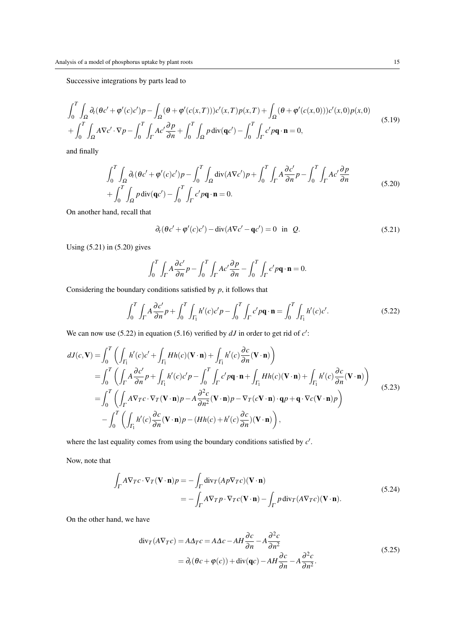Successive integrations by parts lead to

$$
\int_0^T \int_{\Omega} \partial_t (\theta c' + \varphi'(c)c')p - \int_{\Omega} (\theta + \varphi'(c(x,T)))c'(x,T)p(x,T) + \int_{\Omega} (\theta + \varphi'(c(x,0)))c'(x,0)p(x,0)
$$
  
+ 
$$
\int_0^T \int_{\Omega} A \nabla c' \cdot \nabla p - \int_0^T \int_{\Gamma} Ac' \frac{\partial p}{\partial n} + \int_0^T \int_{\Omega} p \operatorname{div}(\mathbf{q}c') - \int_0^T \int_{\Gamma} c' p \mathbf{q} \cdot \mathbf{n} = 0,
$$
 (5.19)

and finally

<span id="page-14-1"></span>
$$
\int_0^T \int_{\Omega} \partial_t (\theta c' + \varphi'(c)c')p - \int_0^T \int_{\Omega} \operatorname{div}(A \nabla c')p + \int_0^T \int_{\Gamma} A \frac{\partial c'}{\partial n} p - \int_0^T \int_{\Gamma} Ac' \frac{\partial p}{\partial n} + \int_0^T \int_{\Omega} p \operatorname{div}(\mathbf{q}c') - \int_0^T \int_{\Gamma} c' p \mathbf{q} \cdot \mathbf{n} = 0.
$$
\n(5.20)

On another hand, recall that

<span id="page-14-0"></span>
$$
\partial_t(\theta c' + \varphi'(c)c') - \operatorname{div}(A\nabla c' - \mathbf{q}c') = 0 \quad \text{in} \quad Q. \tag{5.21}
$$

Using [\(5.21\)](#page-14-0) in [\(5.20\)](#page-14-1) gives

$$
\int_0^T \int_{\Gamma} A \frac{\partial c'}{\partial n} p - \int_0^T \int_{\Gamma} A c' \frac{\partial p}{\partial n} - \int_0^T \int_{\Gamma} c' p \mathbf{q} \cdot \mathbf{n} = 0.
$$

Considering the boundary conditions satisfied by *p*, it follows that

<span id="page-14-2"></span>
$$
\int_0^T \int_{\Gamma} A \frac{\partial c'}{\partial n} p + \int_0^T \int_{\Gamma_1} h'(c) c' p - \int_0^T \int_{\Gamma} c' p \mathbf{q} \cdot \mathbf{n} = \int_0^T \int_{\Gamma_1} h'(c) c'.
$$
 (5.22)

We can now use [\(5.22\)](#page-14-2) in equation [\(5.16\)](#page-13-0) verified by  $dJ$  in order to get rid of  $c'$ :

$$
dJ(c,\mathbf{V}) = \int_0^T \left( \int_{\Gamma_1} h'(c)c' + \int_{\Gamma_1} Hh(c)(\mathbf{V} \cdot \mathbf{n}) + \int_{\Gamma_1} h'(c)\frac{\partial c}{\partial n}(\mathbf{V} \cdot \mathbf{n}) \right)
$$
  
\n
$$
= \int_0^T \left( \int_{\Gamma} A \frac{\partial c'}{\partial n} p + \int_{\Gamma_1} h'(c)c'p - \int_0^T \int_{\Gamma} c' p \mathbf{q} \cdot \mathbf{n} + \int_{\Gamma_1} Hh(c)(\mathbf{V} \cdot \mathbf{n}) + \int_{\Gamma_1} h'(c)\frac{\partial c}{\partial n}(\mathbf{V} \cdot \mathbf{n}) \right)
$$
  
\n
$$
= \int_0^T \left( \int_{\Gamma} A \nabla_T c \cdot \nabla_T (\mathbf{V} \cdot \mathbf{n}) p - A \frac{\partial^2 c}{\partial n^2} (\mathbf{V} \cdot \mathbf{n}) p - \nabla_T (c\mathbf{V} \cdot \mathbf{n}) \cdot \mathbf{q} p + \mathbf{q} \cdot \nabla c (\mathbf{V} \cdot \mathbf{n}) p \right)
$$
  
\n
$$
- \int_0^T \left( \int_{\Gamma_1} h'(c)\frac{\partial c}{\partial n}(\mathbf{V} \cdot \mathbf{n}) p - (Hh(c) + h'(c)\frac{\partial c}{\partial n})(\mathbf{V} \cdot \mathbf{n}) \right),
$$
\n(5.23)

where the last equality comes from using the boundary conditions satisfied by  $c'$ .

Now, note that

$$
\int_{\Gamma} A \nabla_{T} c \cdot \nabla_{T} (\mathbf{V} \cdot \mathbf{n}) p = - \int_{\Gamma} \text{div}_{T} (A p \nabla_{T} c) (\mathbf{V} \cdot \mathbf{n})
$$
\n
$$
= - \int_{\Gamma} A \nabla_{T} p \cdot \nabla_{T} c (\mathbf{V} \cdot \mathbf{n}) - \int_{\Gamma} p \, \text{div}_{T} (A \nabla_{T} c) (\mathbf{V} \cdot \mathbf{n}).
$$
\n(5.24)

On the other hand, we have

$$
\operatorname{div}_{T}(A\nabla_{T}c) = A\Delta_{T}c = A\Delta c - AH\frac{\partial c}{\partial n} - A\frac{\partial^{2}c}{\partial n^{2}}
$$
  
=  $\partial_{t}(\theta c + \varphi(c)) + \operatorname{div}(\mathbf{q}c) - AH\frac{\partial c}{\partial n} - A\frac{\partial^{2}c}{\partial n^{2}}$ . (5.25)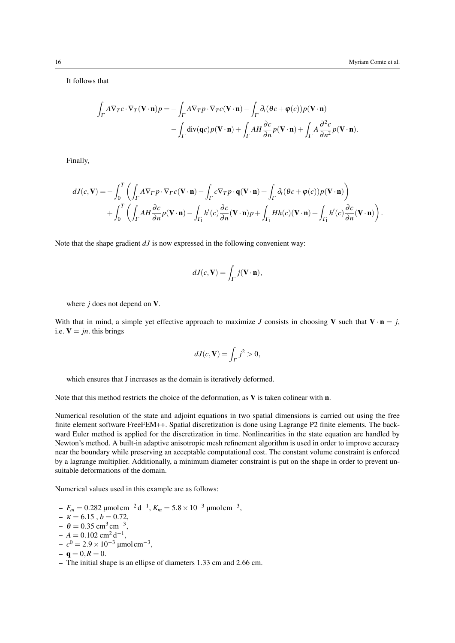It follows that

$$
\int_{\Gamma} A \nabla_{T} c \cdot \nabla_{T} (\mathbf{V} \cdot \mathbf{n}) p = - \int_{\Gamma} A \nabla_{T} p \cdot \nabla_{T} c (\mathbf{V} \cdot \mathbf{n}) - \int_{\Gamma} \partial_{t} (\theta c + \varphi(c)) p (\mathbf{V} \cdot \mathbf{n})
$$

$$
- \int_{\Gamma} \text{div}(\mathbf{q}c) p (\mathbf{V} \cdot \mathbf{n}) + \int_{\Gamma} A H \frac{\partial c}{\partial n} p (\mathbf{V} \cdot \mathbf{n}) + \int_{\Gamma} A \frac{\partial^{2} c}{\partial n^{2}} p (\mathbf{V} \cdot \mathbf{n}).
$$

Finally,

$$
dJ(c,\mathbf{V}) = -\int_0^T \left( \int_{\Gamma} A \nabla_{\Gamma} p \cdot \nabla_{\Gamma} c(\mathbf{V} \cdot \mathbf{n}) - \int_{\Gamma} c \nabla_{\Gamma} p \cdot \mathbf{q}(\mathbf{V} \cdot \mathbf{n}) + \int_{\Gamma} \partial_t (\theta c + \varphi(c)) p(\mathbf{V} \cdot \mathbf{n}) \right) + \int_0^T \left( \int_{\Gamma} A H \frac{\partial c}{\partial n} p(\mathbf{V} \cdot \mathbf{n}) - \int_{\Gamma_1} h'(c) \frac{\partial c}{\partial n} (\mathbf{V} \cdot \mathbf{n}) p + \int_{\Gamma_1} H h(c) (\mathbf{V} \cdot \mathbf{n}) + \int_{\Gamma_1} h'(c) \frac{\partial c}{\partial n} (\mathbf{V} \cdot \mathbf{n}) \right).
$$

Note that the shape gradient *dJ* is now expressed in the following convenient way:

$$
dJ(c, \mathbf{V}) = \int_{\Gamma} j(\mathbf{V} \cdot \mathbf{n}),
$$

where *j* does not depend on V.

With that in mind, a simple yet effective approach to maximize *J* consists in choosing **V** such that  $V \cdot n = j$ , i.e.  $V = jn$ . this brings

$$
dJ(c, \mathbf{V}) = \int_{\Gamma} j^2 > 0,
$$

which ensures that J increases as the domain is iteratively deformed.

Note that this method restricts the choice of the deformation, as **V** is taken colinear with **n**.

Numerical resolution of the state and adjoint equations in two spatial dimensions is carried out using the free finite element software [FreeFEM++.](#page-17-0) Spatial discretization is done using Lagrange P2 finite elements. The backward Euler method is applied for the discretization in time. Nonlinearities in the state equation are handled by Newton's method. A built-in adaptive anisotropic mesh refinement algorithm is used in order to improve accuracy near the boundary while preserving an acceptable computational cost. The constant volume constraint is enforced by a lagrange multiplier. Additionally, a minimum diameter constraint is put on the shape in order to prevent unsuitable deformations of the domain.

Numerical values used in this example are as follows:

- *F<sup>m</sup>* = 0.282 µmolcm−<sup>2</sup> d −1 , *K<sup>m</sup>* = 5.8×10−<sup>3</sup> µmolcm−<sup>3</sup> ,
- $-\kappa = 6.15$ ,  $b = 0.72$ ,
- $\theta = 0.35$  cm<sup>3</sup> cm<sup>-3</sup>,
- $A = 0.102$  cm<sup>2</sup>d<sup>-1</sup>,
- $-c<sup>0</sup> = 2.9 × 10<sup>-3</sup>$  μmol cm<sup>-3</sup>,
- $-$ **q** = 0, $R$  = 0.
- The initial shape is an ellipse of diameters 1.33 cm and 2.66 cm.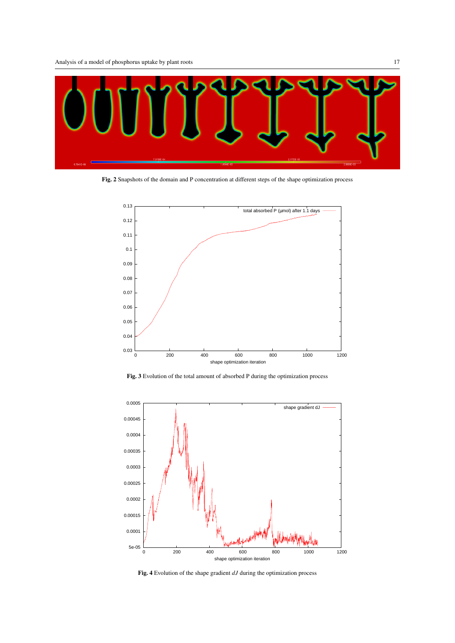

Fig. 2 Snapshots of the domain and P concentration at different steps of the shape optimization process



Fig. 3 Evolution of the total amount of absorbed P during the optimization process



Fig. 4 Evolution of the shape gradient *dJ* during the optimization process